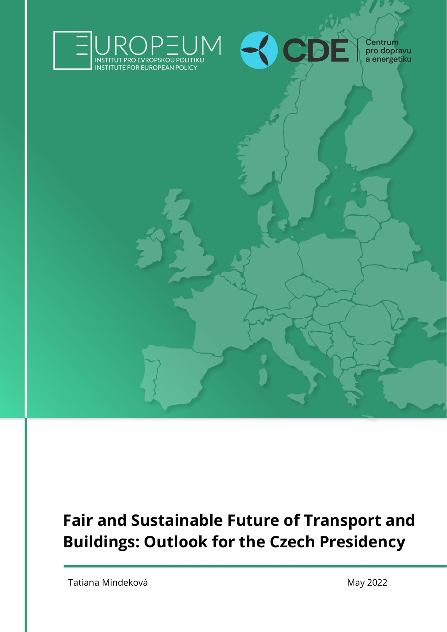



Centrum<br>pro dopravu<br>a energetiku

## **Fair and Sustainable Future of Transport and Buildings: Outlook for the Czech Presidency**

Tatiana Mindeková **May 2022**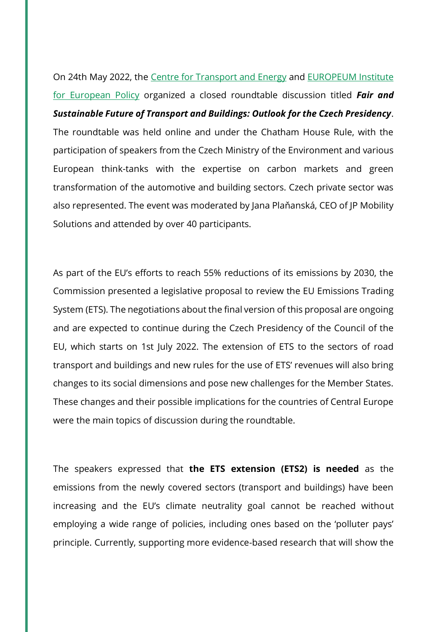On 24th May 2022, the [Centre for Transport and Energy](https://www.cde-org.cz/) and [EUROPEUM Institute](https://europeum.org/)  [for European Policy](https://europeum.org/) organized a closed roundtable discussion titled *Fair and Sustainable Future of Transport and Buildings: Outlook for the Czech Presidency*. The roundtable was held online and under the Chatham House Rule, with the participation of speakers from the Czech Ministry of the Environment and various European think-tanks with the expertise on carbon markets and green transformation of the automotive and building sectors. Czech private sector was also represented. The event was moderated by Jana Plaňanská, CEO of JP Mobility Solutions and attended by over 40 participants.

As part of the EU's efforts to reach 55% reductions of its emissions by 2030, the Commission presented a legislative proposal to review the EU Emissions Trading System (ETS). The negotiations about the final version of this proposal are ongoing and are expected to continue during the Czech Presidency of the Council of the EU, which starts on 1st July 2022. The extension of ETS to the sectors of road transport and buildings and new rules for the use of ETS' revenues will also bring changes to its social dimensions and pose new challenges for the Member States. These changes and their possible implications for the countries of Central Europe were the main topics of discussion during the roundtable.

The speakers expressed that **the ETS extension (ETS2) is needed** as the emissions from the newly covered sectors (transport and buildings) have been increasing and the EU's climate neutrality goal cannot be reached without employing a wide range of policies, including ones based on the 'polluter pays' principle. Currently, supporting more evidence-based research that will show the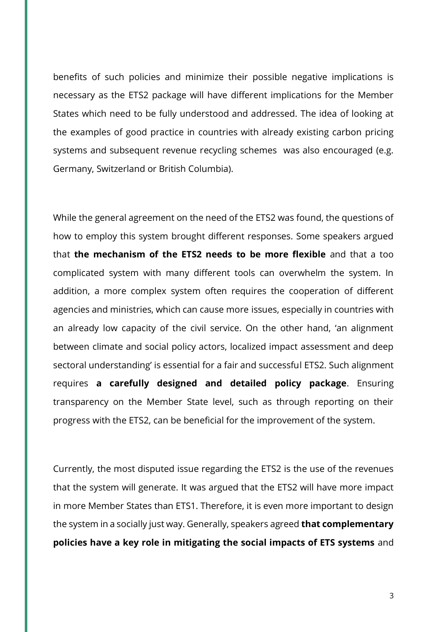benefits of such policies and minimize their possible negative implications is necessary as the ETS2 package will have different implications for the Member States which need to be fully understood and addressed. The idea of looking at the examples of good practice in countries with already existing carbon pricing systems and subsequent revenue recycling schemes was also encouraged (e.g. Germany, Switzerland or British Columbia).

While the general agreement on the need of the ETS2 was found, the questions of how to employ this system brought different responses. Some speakers argued that **the mechanism of the ETS2 needs to be more flexible** and that a too complicated system with many different tools can overwhelm the system. In addition, a more complex system often requires the cooperation of different agencies and ministries, which can cause more issues, especially in countries with an already low capacity of the civil service. On the other hand, 'an alignment between climate and social policy actors, localized impact assessment and deep sectoral understanding' is essential for a fair and successful ETS2. Such alignment requires **a carefully designed and detailed policy package**. Ensuring transparency on the Member State level, such as through reporting on their progress with the ETS2, can be beneficial for the improvement of the system.

Currently, the most disputed issue regarding the ETS2 is the use of the revenues that the system will generate. It was argued that the ETS2 will have more impact in more Member States than ETS1. Therefore, it is even more important to design the system in a socially just way. Generally, speakers agreed **that complementary policies have a key role in mitigating the social impacts of ETS systems** and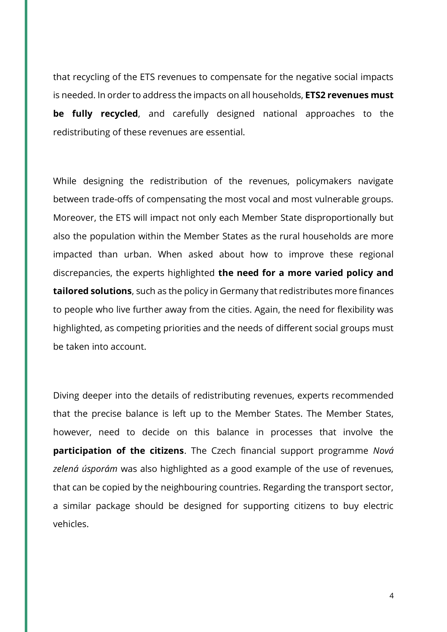that recycling of the ETS revenues to compensate for the negative social impacts is needed. In order to address the impacts on all households, **ETS2 revenues must be fully recycled**, and carefully designed national approaches to the redistributing of these revenues are essential.

While designing the redistribution of the revenues, policymakers navigate between trade-offs of compensating the most vocal and most vulnerable groups. Moreover, the ETS will impact not only each Member State disproportionally but also the population within the Member States as the rural households are more impacted than urban. When asked about how to improve these regional discrepancies, the experts highlighted **the need for a more varied policy and tailored solutions**, such as the policy in Germany that redistributes more finances to people who live further away from the cities. Again, the need for flexibility was highlighted, as competing priorities and the needs of different social groups must be taken into account.

Diving deeper into the details of redistributing revenues, experts recommended that the precise balance is left up to the Member States. The Member States, however, need to decide on this balance in processes that involve the **participation of the citizens**. The Czech financial support programme *Nová zelená úsporám* was also highlighted as a good example of the use of revenues, that can be copied by the neighbouring countries. Regarding the transport sector, a similar package should be designed for supporting citizens to buy electric vehicles.